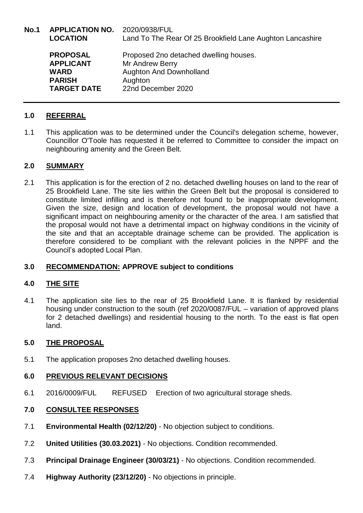**No.1 APPLICATION NO.** 2020/0938/FUL **LOCATION** Land To The Rear Of 25 Brookfield Lane Aughton Lancashire **PROPOSAL** Proposed 2no detached dwelling houses. **APPLICANT** Mr Andrew Berry **WARD Aughton And Downholland PARISH** Aughton **TARGET DATE** 22nd December 2020

## **1.0 REFERRAL**

1.1 This application was to be determined under the Council's delegation scheme, however, Councillor O'Toole has requested it be referred to Committee to consider the impact on neighbouring amenity and the Green Belt.

### **2.0 SUMMARY**

2.1 This application is for the erection of 2 no. detached dwelling houses on land to the rear of 25 Brookfield Lane. The site lies within the Green Belt but the proposal is considered to constitute limited infilling and is therefore not found to be inappropriate development. Given the size, design and location of development, the proposal would not have a significant impact on neighbouring amenity or the character of the area. I am satisfied that the proposal would not have a detrimental impact on highway conditions in the vicinity of the site and that an acceptable drainage scheme can be provided. The application is therefore considered to be compliant with the relevant policies in the NPPF and the Council's adopted Local Plan.

## **3.0 RECOMMENDATION: APPROVE subject to conditions**

## **4.0 THE SITE**

4.1 The application site lies to the rear of 25 Brookfield Lane. It is flanked by residential housing under construction to the south (ref 2020/0087/FUL – variation of approved plans for 2 detached dwellings) and residential housing to the north. To the east is flat open land.

### **5.0 THE PROPOSAL**

5.1 The application proposes 2no detached dwelling houses.

### **6.0 PREVIOUS RELEVANT DECISIONS**

6.1 2016/0009/FUL REFUSED Erection of two agricultural storage sheds.

## **7.0 CONSULTEE RESPONSES**

- 7.1 **Environmental Health (02/12/20)**  No objection subject to conditions.
- 7.2 **United Utilities (30.03.2021)**  No objections. Condition recommended.
- 7.3 **Principal Drainage Engineer (30/03/21)**  No objections. Condition recommended.
- 7.4 **Highway Authority (23/12/20)**  No objections in principle.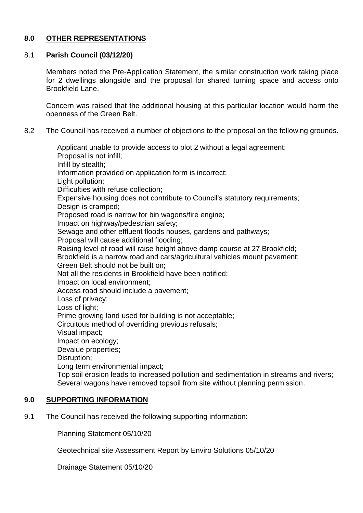## **8.0 OTHER REPRESENTATIONS**

# 8.1 **Parish Council (03/12/20)**

Members noted the Pre-Application Statement, the similar construction work taking place for 2 dwellings alongside and the proposal for shared turning space and access onto Brookfield Lane.

Concern was raised that the additional housing at this particular location would harm the openness of the Green Belt.

8.2 The Council has received a number of objections to the proposal on the following grounds.

Applicant unable to provide access to plot 2 without a legal agreement; Proposal is not infill; Infill by stealth; Information provided on application form is incorrect; Light pollution; Difficulties with refuse collection; Expensive housing does not contribute to Council's statutory requirements; Design is cramped: Proposed road is narrow for bin wagons/fire engine; Impact on highway/pedestrian safety; Sewage and other effluent floods houses, gardens and pathways; Proposal will cause additional flooding; Raising level of road will raise height above damp course at 27 Brookfield; Brookfield is a narrow road and cars/agricultural vehicles mount pavement; Green Belt should not be built on; Not all the residents in Brookfield have been notified; Impact on local environment; Access road should include a pavement; Loss of privacy; Loss of light; Prime growing land used for building is not acceptable; Circuitous method of overriding previous refusals; Visual impact; Impact on ecology; Devalue properties; Disruption; Long term environmental impact; Top soil erosion leads to increased pollution and sedimentation in streams and rivers; Several wagons have removed topsoil from site without planning permission. **9.0 SUPPORTING INFORMATION**

9.1 The Council has received the following supporting information:

Planning Statement 05/10/20

Geotechnical site Assessment Report by Enviro Solutions 05/10/20

Drainage Statement 05/10/20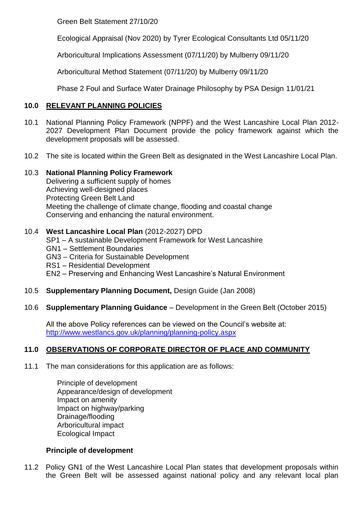Green Belt Statement 27/10/20

Ecological Appraisal (Nov 2020) by Tyrer Ecological Consultants Ltd 05/11/20

Arboricultural Implications Assessment (07/11/20) by Mulberry 09/11/20

Arboricultural Method Statement (07/11/20) by Mulberry 09/11/20

Phase 2 Foul and Surface Water Drainage Philosophy by PSA Design 11/01/21

## **10.0 RELEVANT PLANNING POLICIES**

- 10.1 National Planning Policy Framework (NPPF) and the West Lancashire Local Plan 2012- 2027 Development Plan Document provide the policy framework against which the development proposals will be assessed.
- 10.2 The site is located within the Green Belt as designated in the West Lancashire Local Plan.

## 10.3 **National Planning Policy Framework**

Delivering a sufficient supply of homes Achieving well-designed places Protecting Green Belt Land Meeting the challenge of climate change, flooding and coastal change Conserving and enhancing the natural environment.

## 10.4 **West Lancashire Local Plan** (2012-2027) DPD

- SP1 A sustainable Development Framework for West Lancashire
- GN1 Settlement Boundaries
- GN3 Criteria for Sustainable Development
- RS1 Residential Development
- EN2 Preserving and Enhancing West Lancashire's Natural Environment
- 10.5 **Supplementary Planning Document,** Design Guide (Jan 2008)
- 10.6 **Supplementary Planning Guidance** Development in the Green Belt (October 2015)

All the above Policy references can be viewed on the Council's website at: <http://www.westlancs.gov.uk/planning/planning-policy.aspx>

## **11.0 OBSERVATIONS OF CORPORATE DIRECTOR OF PLACE AND COMMUNITY**

- 11.1 The man considerations for this application are as follows:
	- Principle of development Appearance/design of development Impact on amenity Impact on highway/parking Drainage/flooding Arboricultural impact Ecological Impact

## **Principle of development**

11.2 Policy GN1 of the West Lancashire Local Plan states that development proposals within the Green Belt will be assessed against national policy and any relevant local plan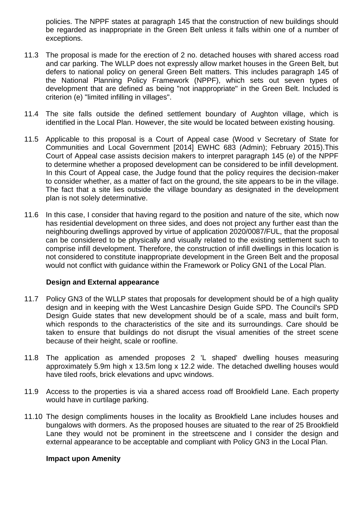policies. The NPPF states at paragraph 145 that the construction of new buildings should be regarded as inappropriate in the Green Belt unless it falls within one of a number of exceptions.

- 11.3 The proposal is made for the erection of 2 no. detached houses with shared access road and car parking. The WLLP does not expressly allow market houses in the Green Belt, but defers to national policy on general Green Belt matters. This includes paragraph 145 of the National Planning Policy Framework (NPPF), which sets out seven types of development that are defined as being "not inappropriate" in the Green Belt. Included is criterion (e) "limited infilling in villages".
- 11.4 The site falls outside the defined settlement boundary of Aughton village, which is identified in the Local Plan. However, the site would be located between existing housing.
- 11.5 Applicable to this proposal is a Court of Appeal case (Wood v Secretary of State for Communities and Local Government [2014] EWHC 683 (Admin); February 2015).This Court of Appeal case assists decision makers to interpret paragraph 145 (e) of the NPPF to determine whether a proposed development can be considered to be infill development. In this Court of Appeal case, the Judge found that the policy requires the decision-maker to consider whether, as a matter of fact on the ground, the site appears to be in the village. The fact that a site lies outside the village boundary as designated in the development plan is not solely determinative.
- 11.6 In this case, I consider that having regard to the position and nature of the site, which now has residential development on three sides, and does not project any further east than the neighbouring dwellings approved by virtue of application 2020/0087/FUL, that the proposal can be considered to be physically and visually related to the existing settlement such to comprise infill development. Therefore, the construction of infill dwellings in this location is not considered to constitute inappropriate development in the Green Belt and the proposal would not conflict with guidance within the Framework or Policy GN1 of the Local Plan.

### **Design and External appearance**

- 11.7 Policy GN3 of the WLLP states that proposals for development should be of a high quality design and in keeping with the West Lancashire Design Guide SPD. The Council's SPD Design Guide states that new development should be of a scale, mass and built form, which responds to the characteristics of the site and its surroundings. Care should be taken to ensure that buildings do not disrupt the visual amenities of the street scene because of their height, scale or roofline.
- 11.8 The application as amended proposes 2 'L shaped' dwelling houses measuring approximately 5.9m high x 13.5m long x 12.2 wide. The detached dwelling houses would have tiled roofs, brick elevations and upvc windows.
- 11.9 Access to the properties is via a shared access road off Brookfield Lane. Each property would have in curtilage parking.
- 11.10 The design compliments houses in the locality as Brookfield Lane includes houses and bungalows with dormers. As the proposed houses are situated to the rear of 25 Brookfield Lane they would not be prominent in the streetscene and I consider the design and external appearance to be acceptable and compliant with Policy GN3 in the Local Plan.

#### **Impact upon Amenity**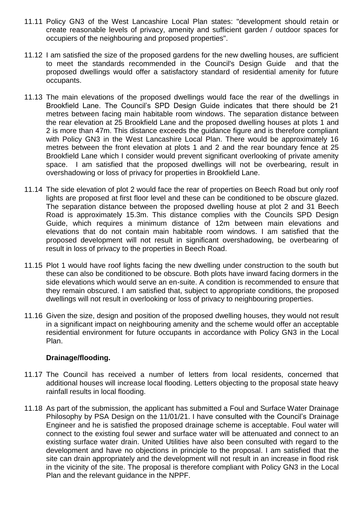- 11.11 Policy GN3 of the West Lancashire Local Plan states: "development should retain or create reasonable levels of privacy, amenity and sufficient garden / outdoor spaces for occupiers of the neighbouring and proposed properties".
- 11.12 I am satisfied the size of the proposed gardens for the new dwelling houses, are sufficient to meet the standards recommended in the Council's Design Guide and that the proposed dwellings would offer a satisfactory standard of residential amenity for future occupants.
- 11.13 The main elevations of the proposed dwellings would face the rear of the dwellings in Brookfield Lane. The Council's SPD Design Guide indicates that there should be 21 metres between facing main habitable room windows. The separation distance between the rear elevation at 25 Brookfield Lane and the proposed dwelling houses at plots 1 and 2 is more than 47m. This distance exceeds the guidance figure and is therefore compliant with Policy GN3 in the West Lancashire Local Plan. There would be approximately 16 metres between the front elevation at plots 1 and 2 and the rear boundary fence at 25 Brookfield Lane which I consider would prevent significant overlooking of private amenity space. I am satisfied that the proposed dwellings will not be overbearing, result in overshadowing or loss of privacy for properties in Brookfield Lane.
- 11.14 The side elevation of plot 2 would face the rear of properties on Beech Road but only roof lights are proposed at first floor level and these can be conditioned to be obscure glazed. The separation distance between the proposed dwelling house at plot 2 and 31 Beech Road is approximately 15.3m. This distance complies with the Councils SPD Design Guide, which requires a minimum distance of 12m between main elevations and elevations that do not contain main habitable room windows. I am satisfied that the proposed development will not result in significant overshadowing, be overbearing of result in loss of privacy to the properties in Beech Road.
- 11.15 Plot 1 would have roof lights facing the new dwelling under construction to the south but these can also be conditioned to be obscure. Both plots have inward facing dormers in the side elevations which would serve an en-suite. A condition is recommended to ensure that they remain obscured. I am satisfied that, subject to appropriate conditions, the proposed dwellings will not result in overlooking or loss of privacy to neighbouring properties.
- 11.16 Given the size, design and position of the proposed dwelling houses, they would not result in a significant impact on neighbouring amenity and the scheme would offer an acceptable residential environment for future occupants in accordance with Policy GN3 in the Local Plan.

### **Drainage/flooding.**

- 11.17 The Council has received a number of letters from local residents, concerned that additional houses will increase local flooding. Letters objecting to the proposal state heavy rainfall results in local flooding.
- 11.18 As part of the submission, the applicant has submitted a Foul and Surface Water Drainage Philosophy by PSA Design on the 11/01/21. I have consulted with the Council's Drainage Engineer and he is satisfied the proposed drainage scheme is acceptable. Foul water will connect to the existing foul sewer and surface water will be attenuated and connect to an existing surface water drain. United Utilities have also been consulted with regard to the development and have no objections in principle to the proposal. I am satisfied that the site can drain appropriately and the development will not result in an increase in flood risk in the vicinity of the site. The proposal is therefore compliant with Policy GN3 in the Local Plan and the relevant guidance in the NPPF.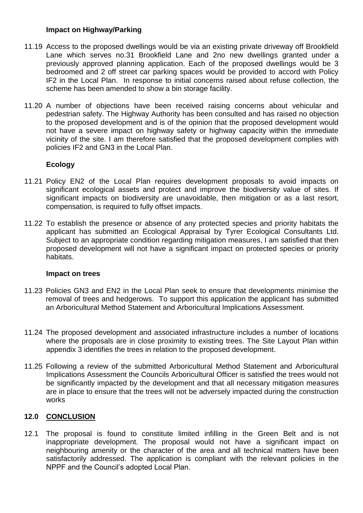### **Impact on Highway/Parking**

- 11.19 Access to the proposed dwellings would be via an existing private driveway off Brookfield Lane which serves no.31 Brookfield Lane and 2no new dwellings granted under a previously approved planning application. Each of the proposed dwellings would be 3 bedroomed and 2 off street car parking spaces would be provided to accord with Policy IF2 in the Local Plan. In response to initial concerns raised about refuse collection, the scheme has been amended to show a bin storage facility.
- 11.20 A number of objections have been received raising concerns about vehicular and pedestrian safety. The Highway Authority has been consulted and has raised no objection to the proposed development and is of the opinion that the proposed development would not have a severe impact on highway safety or highway capacity within the immediate vicinity of the site. I am therefore satisfied that the proposed development complies with policies IF2 and GN3 in the Local Plan.

## **Ecology**

- 11.21 Policy EN2 of the Local Plan requires development proposals to avoid impacts on significant ecological assets and protect and improve the biodiversity value of sites. If significant impacts on biodiversity are unavoidable, then mitigation or as a last resort, compensation, is required to fully offset impacts.
- 11.22 To establish the presence or absence of any protected species and priority habitats the applicant has submitted an Ecological Appraisal by Tyrer Ecological Consultants Ltd. Subject to an appropriate condition regarding mitigation measures, I am satisfied that then proposed development will not have a significant impact on protected species or priority habitats.

### **Impact on trees**

- 11.23 Policies GN3 and EN2 in the Local Plan seek to ensure that developments minimise the removal of trees and hedgerows. To support this application the applicant has submitted an Arboricultural Method Statement and Arboricultural Implications Assessment.
- 11.24 The proposed development and associated infrastructure includes a number of locations where the proposals are in close proximity to existing trees. The Site Layout Plan within appendix 3 identifies the trees in relation to the proposed development.
- 11.25 Following a review of the submitted Arboricultural Method Statement and Arboricultural Implications Assessment the Councils Arboricultural Officer is satisfied the trees would not be significantly impacted by the development and that all necessary mitigation measures are in place to ensure that the trees will not be adversely impacted during the construction works

## **12.0 CONCLUSION**

12.1 The proposal is found to constitute limited infilling in the Green Belt and is not inappropriate development. The proposal would not have a significant impact on neighbouring amenity or the character of the area and all technical matters have been satisfactorily addressed. The application is compliant with the relevant policies in the NPPF and the Council's adopted Local Plan.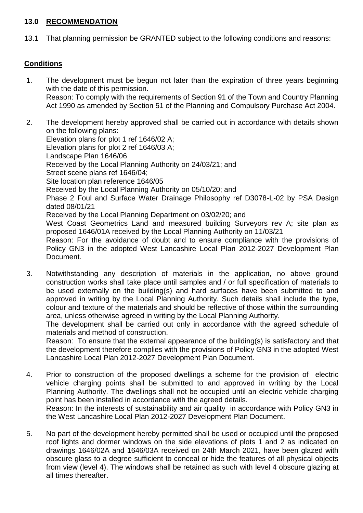### **13.0 RECOMMENDATION**

13.1 That planning permission be GRANTED subject to the following conditions and reasons:

## **Conditions**

- 1. The development must be begun not later than the expiration of three years beginning with the date of this permission. Reason: To comply with the requirements of Section 91 of the Town and Country Planning Act 1990 as amended by Section 51 of the Planning and Compulsory Purchase Act 2004.
- 2. The development hereby approved shall be carried out in accordance with details shown on the following plans: Elevation plans for plot 1 ref 1646/02 A; Elevation plans for plot 2 ref 1646/03 A; Landscape Plan 1646/06 Received by the Local Planning Authority on 24/03/21; and Street scene plans ref 1646/04; Site location plan reference 1646/05 Received by the Local Planning Authority on 05/10/20; and Phase 2 Foul and Surface Water Drainage Philosophy ref D3078-L-02 by PSA Design dated 08/01/21 Received by the Local Planning Department on 03/02/20; and West Coast Geometrics Land and measured building Surveyors rey A: site plan as proposed 1646/01A received by the Local Planning Authority on 11/03/21 Reason: For the avoidance of doubt and to ensure compliance with the provisions of Policy GN3 in the adopted West Lancashire Local Plan 2012-2027 Development Plan Document.
- 3. Notwithstanding any description of materials in the application, no above ground construction works shall take place until samples and / or full specification of materials to be used externally on the building(s) and hard surfaces have been submitted to and approved in writing by the Local Planning Authority. Such details shall include the type, colour and texture of the materials and should be reflective of those within the surrounding area, unless otherwise agreed in writing by the Local Planning Authority.

The development shall be carried out only in accordance with the agreed schedule of materials and method of construction.

Reason: To ensure that the external appearance of the building(s) is satisfactory and that the development therefore complies with the provisions of Policy GN3 in the adopted West Lancashire Local Plan 2012-2027 Development Plan Document.

4. Prior to construction of the proposed dwellings a scheme for the provision of electric vehicle charging points shall be submitted to and approved in writing by the Local Planning Authority. The dwellings shall not be occupied until an electric vehicle charging point has been installed in accordance with the agreed details. Reason: In the interests of sustainability and air quality in accordance with Policy GN3 in

the West Lancashire Local Plan 2012-2027 Development Plan Document.

5. No part of the development hereby permitted shall be used or occupied until the proposed roof lights and dormer windows on the side elevations of plots 1 and 2 as indicated on drawings 1646/02A and 1646/03A received on 24th March 2021, have been glazed with obscure glass to a degree sufficient to conceal or hide the features of all physical objects from view (level 4). The windows shall be retained as such with level 4 obscure glazing at all times thereafter.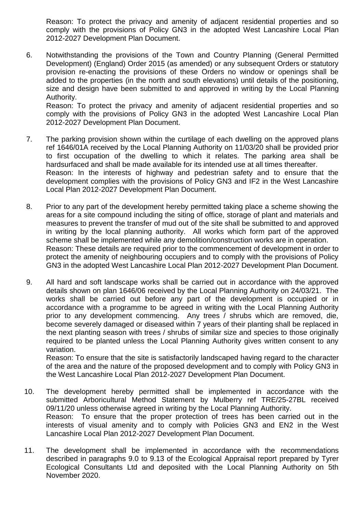Reason: To protect the privacy and amenity of adjacent residential properties and so comply with the provisions of Policy GN3 in the adopted West Lancashire Local Plan 2012-2027 Development Plan Document.

6. Notwithstanding the provisions of the Town and Country Planning (General Permitted Development) (England) Order 2015 (as amended) or any subsequent Orders or statutory provision re-enacting the provisions of these Orders no window or openings shall be added to the properties (in the north and south elevations) until details of the positioning, size and design have been submitted to and approved in writing by the Local Planning Authority.

Reason: To protect the privacy and amenity of adjacent residential properties and so comply with the provisions of Policy GN3 in the adopted West Lancashire Local Plan 2012-2027 Development Plan Document.

- 7. The parking provision shown within the curtilage of each dwelling on the approved plans ref 1646/01A received by the Local Planning Authority on 11/03/20 shall be provided prior to first occupation of the dwelling to which it relates. The parking area shall be hardsurfaced and shall be made available for its intended use at all times thereafter. Reason: In the interests of highway and pedestrian safety and to ensure that the development complies with the provisions of Policy GN3 and IF2 in the West Lancashire Local Plan 2012-2027 Development Plan Document.
- 8. Prior to any part of the development hereby permitted taking place a scheme showing the areas for a site compound including the siting of office, storage of plant and materials and measures to prevent the transfer of mud out of the site shall be submitted to and approved in writing by the local planning authority. All works which form part of the approved scheme shall be implemented while any demolition/construction works are in operation. Reason: These details are required prior to the commencement of development in order to protect the amenity of neighbouring occupiers and to comply with the provisions of Policy GN3 in the adopted West Lancashire Local Plan 2012-2027 Development Plan Document.
- 9. All hard and soft landscape works shall be carried out in accordance with the approved details shown on plan 1646/06 received by the Local Planning Authority on 24/03/21. The works shall be carried out before any part of the development is occupied or in accordance with a programme to be agreed in writing with the Local Planning Authority prior to any development commencing. Any trees / shrubs which are removed, die, become severely damaged or diseased within 7 years of their planting shall be replaced in the next planting season with trees / shrubs of similar size and species to those originally required to be planted unless the Local Planning Authority gives written consent to any variation.

Reason: To ensure that the site is satisfactorily landscaped having regard to the character of the area and the nature of the proposed development and to comply with Policy GN3 in the West Lancashire Local Plan 2012-2027 Development Plan Document.

- 10. The development hereby permitted shall be implemented in accordance with the submitted Arboricultural Method Statement by Mulberry ref TRE/25-27BL received 09/11/20 unless otherwise agreed in writing by the Local Planning Authority. Reason: To ensure that the proper protection of trees has been carried out in the interests of visual amenity and to comply with Policies GN3 and EN2 in the West Lancashire Local Plan 2012-2027 Development Plan Document.
- 11. The development shall be implemented in accordance with the recommendations described in paragraphs 9.0 to 9.13 of the Ecological Appraisal report prepared by Tyrer Ecological Consultants Ltd and deposited with the Local Planning Authority on 5th November 2020.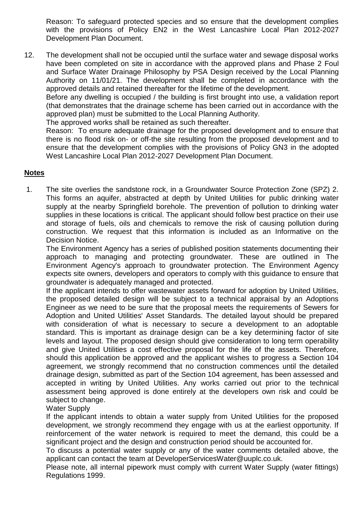Reason: To safeguard protected species and so ensure that the development complies with the provisions of Policy EN2 in the West Lancashire Local Plan 2012-2027 Development Plan Document.

12. The development shall not be occupied until the surface water and sewage disposal works have been completed on site in accordance with the approved plans and Phase 2 Foul and Surface Water Drainage Philosophy by PSA Design received by the Local Planning Authority on 11/01/21. The development shall be completed in accordance with the approved details and retained thereafter for the lifetime of the development.

Before any dwelling is occupied / the building is first brought into use, a validation report (that demonstrates that the drainage scheme has been carried out in accordance with the approved plan) must be submitted to the Local Planning Authority.

The approved works shall be retained as such thereafter.

Reason: To ensure adequate drainage for the proposed development and to ensure that there is no flood risk on- or off-the site resulting from the proposed development and to ensure that the development complies with the provisions of Policy GN3 in the adopted West Lancashire Local Plan 2012-2027 Development Plan Document.

### **Notes**

1. The site overlies the sandstone rock, in a Groundwater Source Protection Zone (SPZ) 2. This forms an aquifer, abstracted at depth by United Utilities for public drinking water supply at the nearby Springfield borehole. The prevention of pollution to drinking water supplies in these locations is critical. The applicant should follow best practice on their use and storage of fuels, oils and chemicals to remove the risk of causing pollution during construction. We request that this information is included as an Informative on the Decision Notice.

The Environment Agency has a series of published position statements documenting their approach to managing and protecting groundwater. These are outlined in The Environment Agency's approach to groundwater protection. The Environment Agency expects site owners, developers and operators to comply with this guidance to ensure that groundwater is adequately managed and protected.

If the applicant intends to offer wastewater assets forward for adoption by United Utilities, the proposed detailed design will be subject to a technical appraisal by an Adoptions Engineer as we need to be sure that the proposal meets the requirements of Sewers for Adoption and United Utilities' Asset Standards. The detailed layout should be prepared with consideration of what is necessary to secure a development to an adoptable standard. This is important as drainage design can be a key determining factor of site levels and layout. The proposed design should give consideration to long term operability and give United Utilities a cost effective proposal for the life of the assets. Therefore, should this application be approved and the applicant wishes to progress a Section 104 agreement, we strongly recommend that no construction commences until the detailed drainage design, submitted as part of the Section 104 agreement, has been assessed and accepted in writing by United Utilities. Any works carried out prior to the technical assessment being approved is done entirely at the developers own risk and could be subject to change.

Water Supply

If the applicant intends to obtain a water supply from United Utilities for the proposed development, we strongly recommend they engage with us at the earliest opportunity. If reinforcement of the water network is required to meet the demand, this could be a significant project and the design and construction period should be accounted for.

To discuss a potential water supply or any of the water comments detailed above, the applicant can contact the team at DeveloperServicesWater@uuplc.co.uk.

Please note, all internal pipework must comply with current Water Supply (water fittings) Regulations 1999.